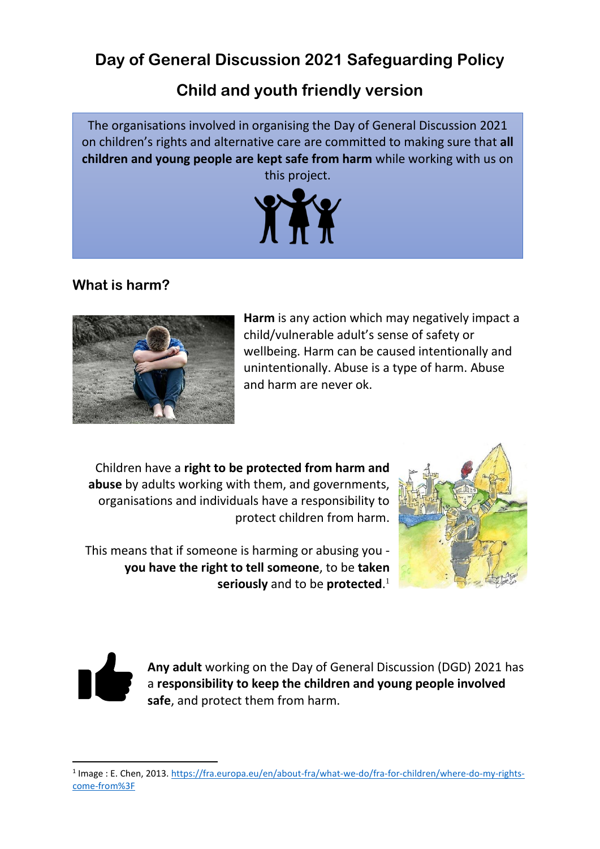# **Day of General Discussion 2021 Safeguarding Policy**

# **Child and youth friendly version**

The organisations involved in organising the Day of General Discussion 2021 on children's rights and alternative care are committed to making sure that **all children and young people are kept safe from harm** while working with us on this project.



# **What is harm?**



**Harm** is any action which may negatively impact a child/vulnerable adult's sense of safety or wellbeing. Harm can be caused intentionally and unintentionally. Abuse is a type of harm. Abuse and harm are never ok.

Children have a **right to be protected from harm and abuse** by adults working with them, and governments, organisations and individuals have a responsibility to protect children from harm.

This means that if someone is harming or abusing you **you have the right to tell someone**, to be **taken seriously** and to be **protected**. 1





**Any adult** working on the Day of General Discussion (DGD) 2021 has a **responsibility to keep the children and young people involved safe**, and protect them from harm.

<sup>&</sup>lt;sup>1</sup> Image : E. Chen, 2013. [https://fra.europa.eu/en/about-fra/what-we-do/fra-for-children/where-do-my-rights](https://fra.europa.eu/en/about-fra/what-we-do/fra-for-children/where-do-my-rights-come-from%3F)[come-from%3F](https://fra.europa.eu/en/about-fra/what-we-do/fra-for-children/where-do-my-rights-come-from%3F)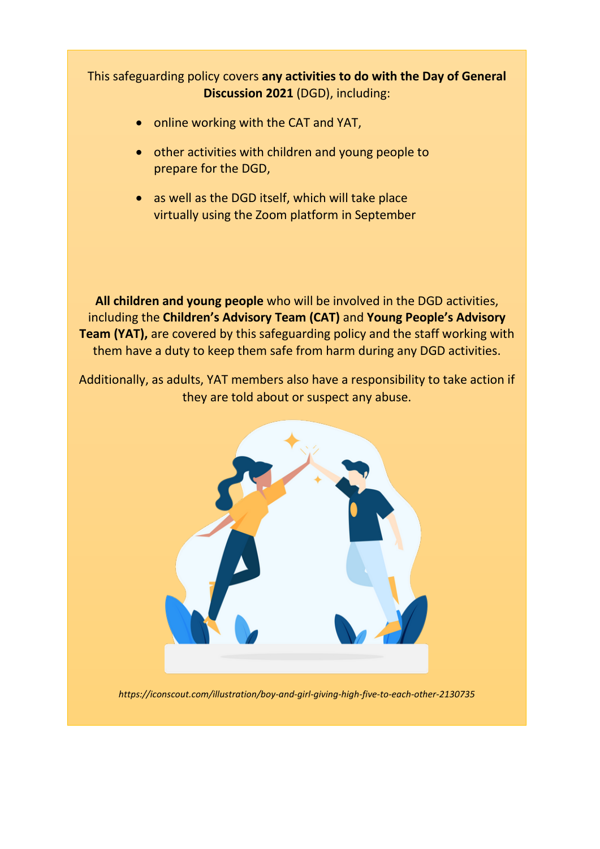## This safeguarding policy covers **any activities to do with the Day of General Discussion 2021** (DGD), including:

- online working with the CAT and YAT,
- other activities with children and young people to prepare for the DGD,
- as well as the DGD itself, which will take place virtually using the Zoom platform in September

**All children and young people** who will be involved in the DGD activities, including the **Children's Advisory Team (CAT)** and **Young People's Advisory Team (YAT),** are covered by this safeguarding policy and the staff working with them have a duty to keep them safe from harm during any DGD activities.

Additionally, as adults, YAT members also have a responsibility to take action if they are told about or suspect any abuse.



*https://iconscout.com/illustration/boy-and-girl-giving-high-five-to-each-other-2130735*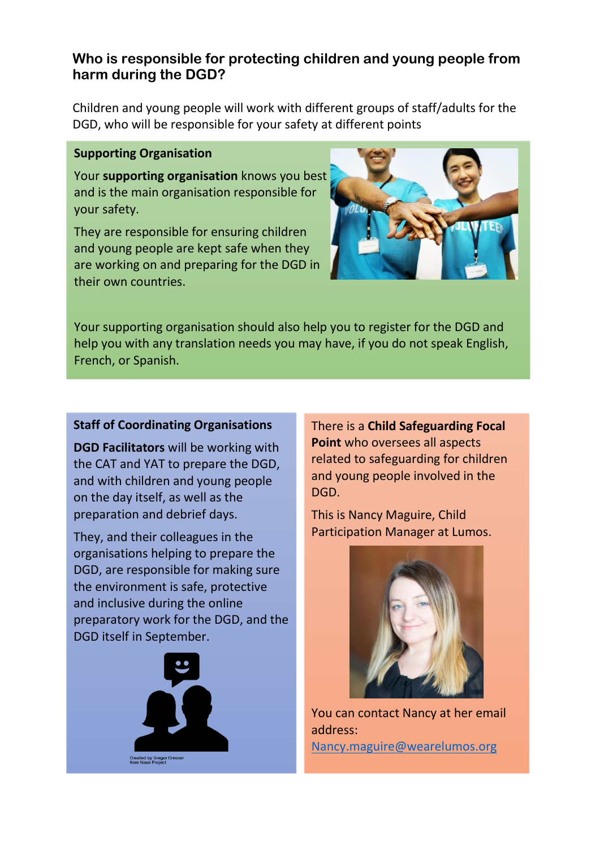## **Who is responsible for protecting children and young people from harm during the DGD?**

Children and young people will work with different groups of staff/adults for the DGD, who will be responsible for your safety at different points

#### **Supporting Organisation**

Your **supporting organisation** knows you best and is the main organisation responsible for your safety.

They are responsible for ensuring children and young people are kept safe when they are working on and preparing for the DGD in their own countries.



Your supporting organisation should also help you to register for the DGD and help you with any translation needs you may have, if you do not speak English, French, or Spanish.

### **Staff of Coordinating Organisations**

**DGD Facilitators** will be working with the CAT and YAT to prepare the DGD, and with children and young people on the day itself, as well as the preparation and debrief days.

They, and their colleagues in the organisations helping to prepare the DGD, are responsible for making sure the environment is safe, protective and inclusive during the online preparatory work for the DGD, and the DGD itself in September.



There is a **Child Safeguarding Focal Point** who oversees all aspects related to safeguarding for children and young people involved in the DGD.

This is Nancy Maguire, Child Participation Manager at Lumos.



You can contact Nancy at her email address:

[Nancy.maguire@wearelumos.org](mailto:Nancy.maguire@wearelumos.org)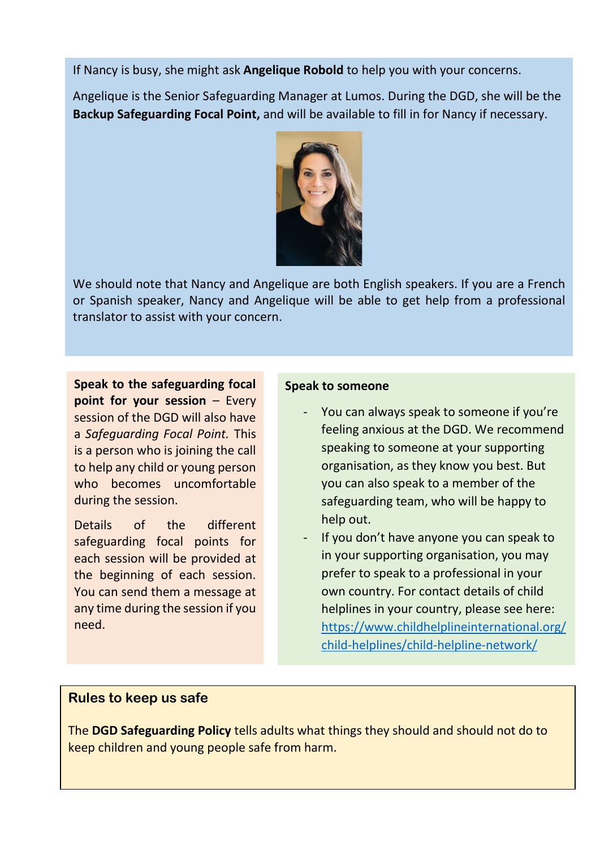If Nancy is busy, she might ask **Angelique Robold** to help you with your concerns.

Angelique is the Senior Safeguarding Manager at Lumos. During the DGD, she will be the **Backup Safeguarding Focal Point,** and will be available to fill in for Nancy if necessary.



We should note that Nancy and Angelique are both English speakers. If you are a French or Spanish speaker, Nancy and Angelique will be able to get help from a professional translator to assist with your concern.

**Speak to the safeguarding focal point for your session – Every** session of the DGD will also have a *Safeguarding Focal Point.* This is a person who is joining the call to help any child or young person who becomes uncomfortable during the session.

Details of the different safeguarding focal points for each session will be provided at the beginning of each session. You can send them a message at any time during the session if you need.

#### **Speak to someone**

- You can always speak to someone if you're feeling anxious at the DGD. We recommend speaking to someone at your supporting organisation, as they know you best. But you can also speak to a member of the safeguarding team, who will be happy to help out.
- If you don't have anyone you can speak to in your supporting organisation, you may prefer to speak to a professional in your own country. For contact details of child helplines in your country, please see here: [https://www.childhelplineinternational.org/](https://www.childhelplineinternational.org/child-helplines/child-helpline-network/) [child-helplines/child-helpline-network/](https://www.childhelplineinternational.org/child-helplines/child-helpline-network/)

## **Rules to keep us safe**

The **DGD Safeguarding Policy** tells adults what things they should and should not do to keep children and young people safe from harm.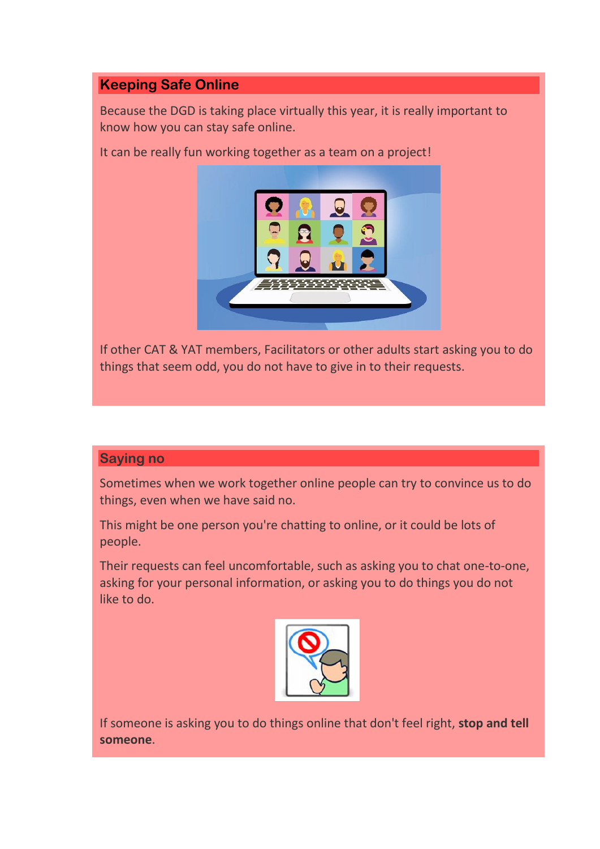## **Keeping Safe Online**

Because the DGD is taking place virtually this year, it is really important to know how you can stay safe online.

It can be really fun working together as a team on a project!



If other CAT & YAT members, Facilitators or other adults start asking you to do things that seem odd, you do not have to give in to their requests.

### **Saying no**

Sometimes when we work together online people can try to convince us to do things, even when we have said no.

This might be one person you're chatting to online, or it could be lots of people.

Their requests can feel uncomfortable, such as asking you to chat one-to-one, asking for your personal information, or asking you to do things you do not like to do.



If someone is asking you to do things online that don't feel right, **stop and tell someone**.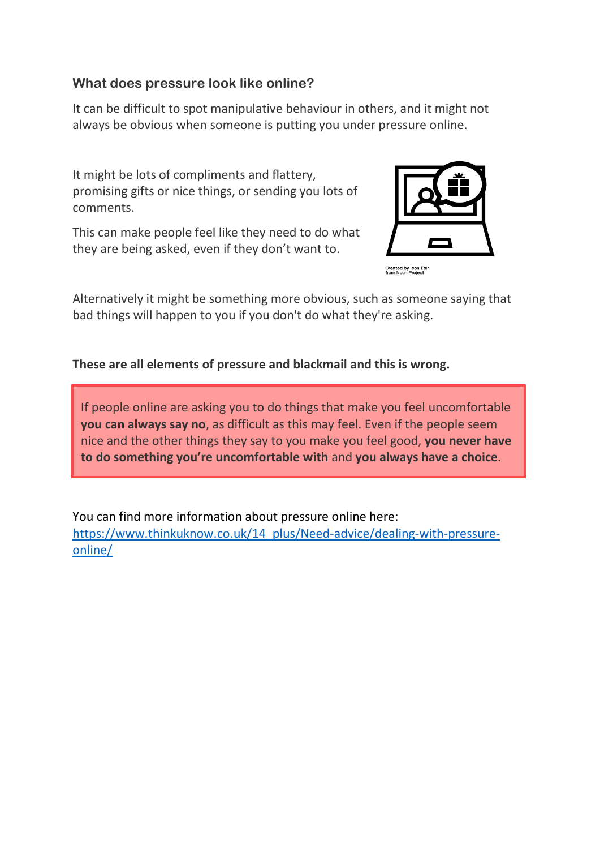## **What does pressure look like online?**

It can be difficult to spot manipulative behaviour in others, and it might not always be obvious when someone is putting you under pressure online.

It might be lots of compliments and flattery, promising gifts or nice things, or sending you lots of comments.

This can make people feel like they need to do what they are being asked, even if they don't want to.



Created by Icon Fai<br>from Noun Project

Alternatively it might be something more obvious, such as someone saying that bad things will happen to you if you don't do what they're asking.

**These are all elements of pressure and blackmail and this is wrong.** 

If people online are asking you to do things that make you feel uncomfortable **you can always say no**, as difficult as this may feel. Even if the people seem nice and the other things they say to you make you feel good, **you never have to do something you're uncomfortable with** and **you always have a choice**.

You can find more information about pressure online here: [https://www.thinkuknow.co.uk/14\\_plus/Need-advice/dealing-with-pressure](https://www.thinkuknow.co.uk/14_plus/Need-advice/dealing-with-pressure-online/)[online/](https://www.thinkuknow.co.uk/14_plus/Need-advice/dealing-with-pressure-online/)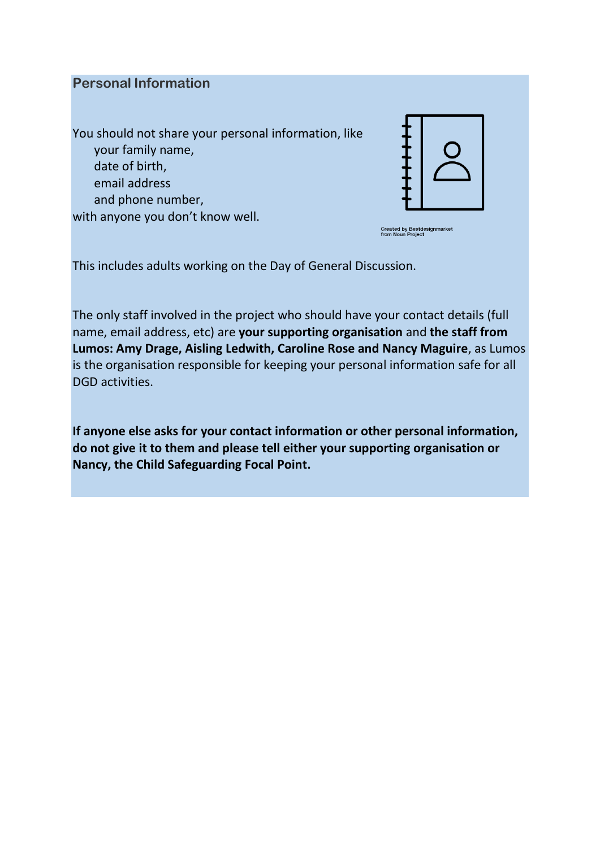### **Personal Information**

You should not share your personal information, like your family name, date of birth, email address and phone number, with anyone you don't know well.



Created by Bestdesignmarket<br>from Noun Project

This includes adults working on the Day of General Discussion.

The only staff involved in the project who should have your contact details (full name, email address, etc) are **your supporting organisation** and **the staff from Lumos: Amy Drage, Aisling Ledwith, Caroline Rose and Nancy Maguire**, as Lumos is the organisation responsible for keeping your personal information safe for all DGD activities.

**If anyone else asks for your contact information or other personal information, do not give it to them and please tell either your supporting organisation or Nancy, the Child Safeguarding Focal Point.**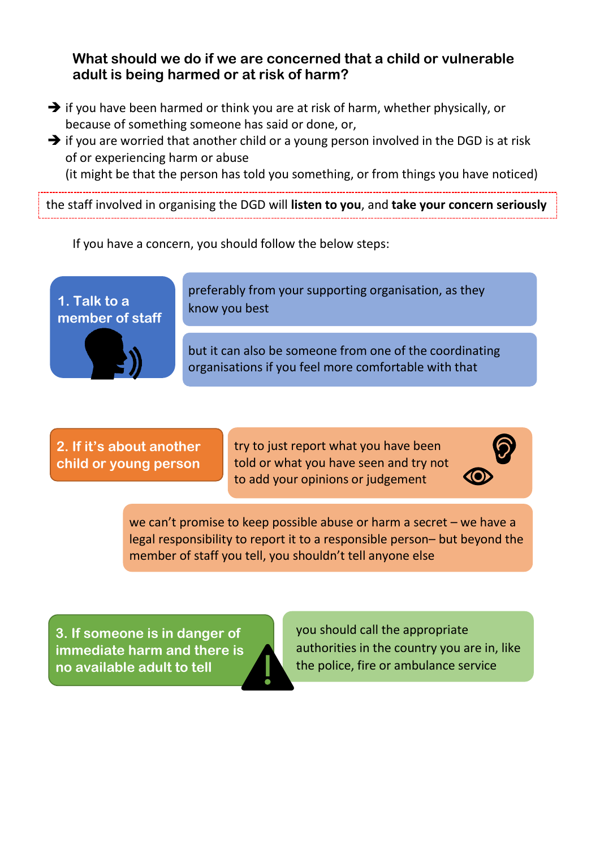## **What should we do if we are concerned that a child or vulnerable adult is being harmed or at risk of harm?**

- ➔ if you have been harmed or think you are at risk of harm, whether physically, or because of something someone has said or done, or,
- $\rightarrow$  if you are worried that another child or a young person involved in the DGD is at risk of or experiencing harm or abuse

(it might be that the person has told you something, or from things you have noticed)

the staff involved in organising the DGD will **listen to you**, and **take your concern seriously**

If you have a concern, you should follow the below steps:





preferably from your supporting organisation, as they know you best

but it can also be someone from one of the coordinating organisations if you feel more comfortable with that

**2. If it's about another child or young person**

try to just report what you have been told or what you have seen and try not to add your opinions or judgement



we can't promise to keep possible abuse or harm a secret – we have a legal responsibility to report it to a responsible person– but beyond the member of staff you tell, you shouldn't tell anyone else

**3. If someone is in danger of immediate harm and there is no available adult to tell**

you should call the appropriate authorities in the country you are in, like the police, fire or ambulance service